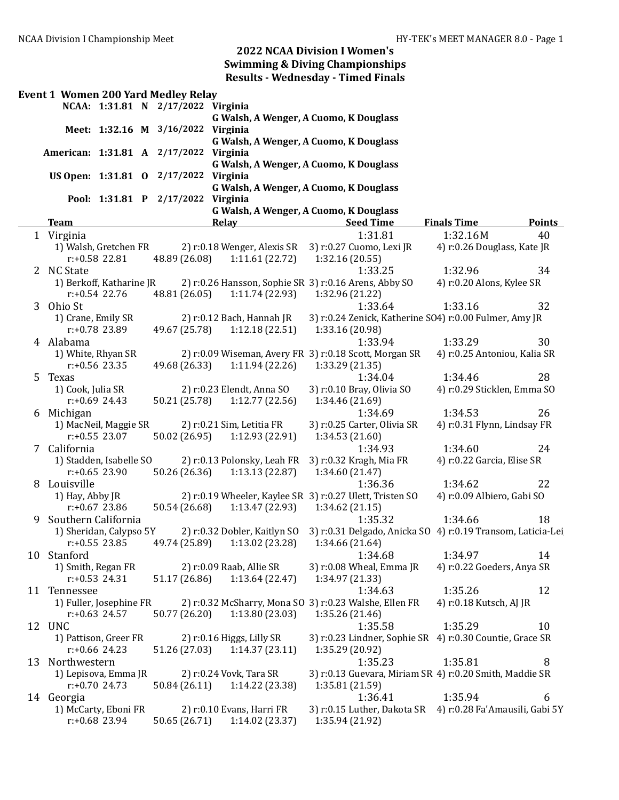|    |                            |                          | <b>Event 1 Women 200 Yard Medley Relay</b> |                              |                                                             |                                        |        |
|----|----------------------------|--------------------------|--------------------------------------------|------------------------------|-------------------------------------------------------------|----------------------------------------|--------|
|    |                            |                          | NCAA: 1:31.81 N 2/17/2022 Virginia         |                              |                                                             |                                        |        |
|    |                            |                          |                                            |                              | G Walsh, A Wenger, A Cuomo, K Douglass                      |                                        |        |
|    |                            |                          | Meet: 1:32.16 M 3/16/2022 Virginia         |                              |                                                             |                                        |        |
|    |                            |                          |                                            |                              | G Walsh, A Wenger, A Cuomo, K Douglass                      |                                        |        |
|    |                            |                          | American: 1:31.81 A 2/17/2022 Virginia     |                              |                                                             |                                        |        |
|    |                            |                          |                                            |                              | G Walsh, A Wenger, A Cuomo, K Douglass                      |                                        |        |
|    |                            |                          | US Open: 1:31.81 0 2/17/2022               | Virginia                     |                                                             |                                        |        |
|    |                            |                          |                                            |                              | G Walsh, A Wenger, A Cuomo, K Douglass                      |                                        |        |
|    |                            |                          | Pool: 1:31.81 P 2/17/2022                  | Virginia                     |                                                             |                                        |        |
|    |                            |                          |                                            |                              | G Walsh, A Wenger, A Cuomo, K Douglass                      |                                        |        |
|    | <b>Team</b>                |                          |                                            | Relay                        | <b>Seed Time</b>                                            | <b>Finals Time</b>                     | Points |
|    | 1 Virginia                 |                          |                                            |                              | 1:31.81                                                     | 1:32.16M                               | 40     |
|    |                            | 1) Walsh, Gretchen FR    |                                            | 2) r:0.18 Wenger, Alexis SR  | 3) r:0.27 Cuomo, Lexi JR                                    | 4) r:0.26 Douglass, Kate JR            |        |
|    |                            | r:+0.58 22.81            | 48.89 (26.08)                              | 1:11.61(22.72)               | 1:32.16(20.55)                                              |                                        |        |
|    | 2 NC State                 |                          |                                            |                              | 1:33.25                                                     | 1:32.96                                | 34     |
|    |                            | 1) Berkoff, Katharine JR |                                            |                              | 2) r:0.26 Hansson, Sophie SR 3) r:0.16 Arens, Abby SO       | 4) r:0.20 Alons, Kylee SR              |        |
|    |                            | $r: +0.54$ 22.76         | 48.81 (26.05)                              | 1:11.74(22.93)               | 1:32.96 (21.22)                                             |                                        |        |
| 3  | Ohio St                    |                          |                                            |                              | 1:33.64                                                     | 1:33.16                                | 32     |
|    | 1) Crane, Emily SR         |                          |                                            | 2) r:0.12 Bach, Hannah JR    | 3) r:0.24 Zenick, Katherine SO4) r:0.00 Fulmer, Amy JR      |                                        |        |
|    |                            | r:+0.78 23.89            | 49.67 (25.78)                              | 1:12.18(22.51)               | 1:33.16 (20.98)                                             |                                        |        |
|    | 4 Alabama                  |                          |                                            |                              | 1:33.94                                                     | 1:33.29                                | 30     |
|    |                            | 1) White, Rhyan SR       |                                            |                              | 2) r:0.09 Wiseman, Avery FR 3) r:0.18 Scott, Morgan SR      | 4) r:0.25 Antoniou, Kalia SR           |        |
|    |                            | $r: +0.56$ 23.35         | 49.68 (26.33)                              | 1:11.94(22.26)               | 1:33.29 (21.35)<br>1:34.04                                  |                                        | 28     |
| 5  | Texas<br>1) Cook, Julia SR |                          |                                            | 2) r:0.23 Elendt, Anna SO    |                                                             | 1:34.46<br>4) r:0.29 Sticklen, Emma SO |        |
|    |                            | $r: +0.69$ 24.43         | 50.21 (25.78)                              | 1:12.77(22.56)               | 3) r:0.10 Bray, Olivia SO<br>1:34.46 (21.69)                |                                        |        |
|    | 6 Michigan                 |                          |                                            |                              | 1:34.69                                                     | 1:34.53                                | 26     |
|    |                            | 1) MacNeil, Maggie SR    |                                            | 2) r:0.21 Sim, Letitia FR    | 3) r:0.25 Carter, Olivia SR                                 | 4) r:0.31 Flynn, Lindsay FR            |        |
|    |                            | $r: +0.55$ 23.07         | 50.02 (26.95)                              | 1:12.93 (22.91)              | 1:34.53(21.60)                                              |                                        |        |
|    | 7 California               |                          |                                            |                              | 1:34.93                                                     | 1:34.60                                | 24     |
|    |                            | 1) Stadden, Isabelle SO  |                                            | 2) r:0.13 Polonsky, Leah FR  | 3) r:0.32 Kragh, Mia FR                                     | 4) r:0.22 Garcia, Elise SR             |        |
|    |                            | $r: +0.65$ 23.90         | 50.26 (26.36)                              | 1:13.13(22.87)               | 1:34.60 (21.47)                                             |                                        |        |
| 8  | Louisville                 |                          |                                            |                              | 1:36.36                                                     | 1:34.62                                | 22     |
|    | 1) Hay, Abby JR            |                          |                                            |                              | 2) r:0.19 Wheeler, Kaylee SR 3) r:0.27 Ulett, Tristen SO    | 4) r:0.09 Albiero, Gabi SO             |        |
|    |                            | $r: +0.67$ 23.86         | 50.54 (26.68)                              | 1:13.47(22.93)               | 1:34.62(21.15)                                              |                                        |        |
| 9  | Southern California        |                          |                                            |                              | 1:35.32                                                     | 1:34.66                                | 18     |
|    |                            | 1) Sheridan, Calypso 5Y  |                                            | 2) r:0.32 Dobler, Kaitlyn SO | 3) r:0.31 Delgado, Anicka SO 4) r:0.19 Transom, Laticia-Lei |                                        |        |
|    |                            | $r: +0.55$ 23.85         | 49.74 (25.89)                              | 1:13.02 (23.28)              | 1:34.66 (21.64)                                             |                                        |        |
|    | 10 Stanford                |                          |                                            |                              | 1:34.68                                                     | 1:34.97                                | 14     |
|    |                            | 1) Smith, Regan FR       |                                            | 2) r:0.09 Raab, Allie SR     | 3) r:0.08 Wheal, Emma JR                                    | 4) r:0.22 Goeders, Anya SR             |        |
|    |                            | $r: +0.53$ 24.31         | 51.17 (26.86)                              | 1:13.64(22.47)               | 1:34.97 (21.33)                                             |                                        |        |
|    | 11 Tennessee               |                          |                                            |                              | 1:34.63                                                     | 1:35.26                                | 12     |
|    |                            | 1) Fuller, Josephine FR  |                                            |                              | 2) r:0.32 McSharry, Mona SO 3) r:0.23 Walshe, Ellen FR      | 4) r:0.18 Kutsch, AJ JR                |        |
|    |                            | $r: +0.63$ 24.57         | 50.77 (26.20)                              | 1:13.80 (23.03)              | 1:35.26 (21.46)                                             |                                        |        |
|    | 12 UNC                     |                          |                                            |                              | 1:35.58                                                     | 1:35.29                                | 10     |
|    |                            | 1) Pattison, Greer FR    |                                            | 2) $r:0.16$ Higgs, Lilly SR  | 3) r:0.23 Lindner, Sophie SR 4) r:0.30 Countie, Grace SR    |                                        |        |
|    |                            | $r: +0.66$ 24.23         | 51.26 (27.03)                              | 1:14.37(23.11)               | 1:35.29 (20.92)                                             |                                        |        |
| 13 | Northwestern               |                          |                                            |                              | 1:35.23                                                     | 1:35.81                                | 8      |
|    |                            | 1) Lepisova, Emma JR     |                                            | 2) r:0.24 Vovk, Tara SR      | 3) r:0.13 Guevara, Miriam SR 4) r:0.20 Smith, Maddie SR     |                                        |        |
|    |                            | $r: +0.70$ 24.73         | 50.84 (26.11)                              | 1:14.22 (23.38)              | 1:35.81 (21.59)                                             |                                        |        |
|    | 14 Georgia                 |                          |                                            |                              | 1:36.41                                                     | 1:35.94                                | 6      |
|    |                            | 1) McCarty, Eboni FR     |                                            | 2) r:0.10 Evans, Harri FR    | 3) r:0.15 Luther, Dakota SR                                 | 4) r:0.28 Fa'Amausili, Gabi 5Y         |        |
|    |                            | $r: +0.68$ 23.94         | 50.65 (26.71)                              | 1:14.02(23.37)               | 1:35.94 (21.92)                                             |                                        |        |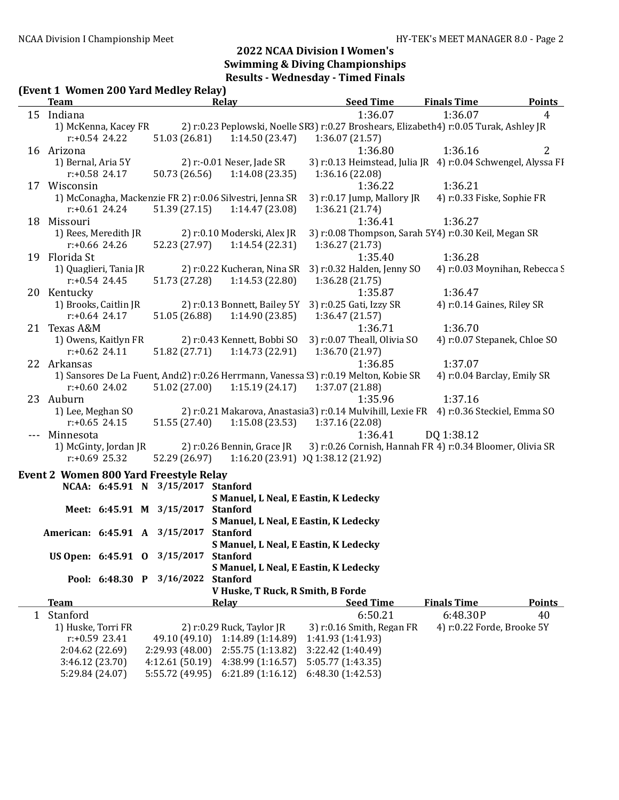#### (Event 1 Women 200 Yard Medley Relay)

| $\mu$ and $\mu$ and $\mu$ and $\mu$ and $\mu$ and $\mu$ and $\mu$<br><b>Team</b> |                                    |                 | <b>Relay</b>                                                                           |                   | <b>Seed Time</b>            | <b>Finals Time</b>                                           | <b>Points</b>  |
|----------------------------------------------------------------------------------|------------------------------------|-----------------|----------------------------------------------------------------------------------------|-------------------|-----------------------------|--------------------------------------------------------------|----------------|
| 15 Indiana                                                                       |                                    |                 |                                                                                        |                   | 1:36.07                     | 1:36.07                                                      | $\overline{4}$ |
| 1) McKenna, Kacey FR                                                             |                                    |                 | 2) r:0.23 Peplowski, Noelle SR3) r:0.27 Broshears, Elizabeth4) r:0.05 Turak, Ashley JR |                   |                             |                                                              |                |
| $r: +0.54$ 24.22                                                                 |                                    | 51.03 (26.81)   | 1:14.50(23.47)                                                                         | 1:36.07(21.57)    |                             |                                                              |                |
| 16 Arizona                                                                       |                                    |                 |                                                                                        |                   | 1:36.80                     | 1:36.16                                                      | 2              |
| 1) Bernal, Aria 5Y                                                               |                                    |                 | 2) r:-0.01 Neser, Jade SR                                                              |                   |                             | 3) r:0.13 Heimstead, Julia JR 4) r:0.04 Schwengel, Alyssa FI |                |
| $r: +0.58$ 24.17                                                                 |                                    | 50.73 (26.56)   | 1:14.08(23.35)                                                                         | 1:36.16 (22.08)   |                             |                                                              |                |
| 17 Wisconsin                                                                     |                                    |                 |                                                                                        |                   | 1:36.22                     | 1:36.21                                                      |                |
|                                                                                  |                                    |                 | 1) McConagha, Mackenzie FR 2) r:0.06 Silvestri, Jenna SR                               |                   | 3) r:0.17 Jump, Mallory JR  | 4) r:0.33 Fiske, Sophie FR                                   |                |
| $r: +0.61$ 24.24                                                                 |                                    | 51.39 (27.15)   | 1:14.47(23.08)                                                                         | 1:36.21 (21.74)   |                             |                                                              |                |
| 18 Missouri                                                                      |                                    |                 |                                                                                        |                   | 1:36.41                     | 1:36.27                                                      |                |
| 1) Rees, Meredith JR                                                             |                                    |                 | 2) r:0.10 Moderski, Alex JR                                                            |                   |                             | 3) r:0.08 Thompson, Sarah 5Y4) r:0.30 Keil, Megan SR         |                |
| $r: +0.66$ 24.26                                                                 |                                    | 52.23 (27.97)   | 1:14.54(22.31)                                                                         | 1:36.27 (21.73)   |                             |                                                              |                |
| 19 Florida St                                                                    |                                    |                 |                                                                                        |                   | 1:35.40                     | 1:36.28                                                      |                |
| 1) Quaglieri, Tania JR                                                           |                                    |                 | 2) r:0.22 Kucheran, Nina SR                                                            |                   | 3) r:0.32 Halden, Jenny SO  | 4) r:0.03 Moynihan, Rebecca S                                |                |
| $r: +0.54$ 24.45                                                                 |                                    | 51.73 (27.28)   | 1:14.53(22.80)                                                                         | 1:36.28(21.75)    |                             |                                                              |                |
| 20 Kentucky                                                                      |                                    |                 |                                                                                        |                   | 1:35.87                     | 1:36.47                                                      |                |
| 1) Brooks, Caitlin JR                                                            |                                    |                 | 2) r:0.13 Bonnett, Bailey 5Y                                                           |                   | 3) r:0.25 Gati, Izzy SR     | 4) r:0.14 Gaines, Riley SR                                   |                |
| $r: +0.64$ 24.17                                                                 |                                    | 51.05 (26.88)   | 1:14.90(23.85)                                                                         | 1:36.47(21.57)    |                             |                                                              |                |
| 21 Texas A&M                                                                     |                                    |                 |                                                                                        |                   | 1:36.71                     | 1:36.70                                                      |                |
| 1) Owens, Kaitlyn FR                                                             |                                    |                 | 2) r:0.43 Kennett, Bobbi SO                                                            |                   | 3) r:0.07 Theall, Olivia SO | 4) r:0.07 Stepanek, Chloe SO                                 |                |
| $r: +0.62$ 24.11                                                                 |                                    | 51.82 (27.71)   | 1:14.73(22.91)                                                                         | 1:36.70 (21.97)   |                             |                                                              |                |
| 22 Arkansas                                                                      |                                    |                 |                                                                                        |                   | 1:36.85                     | 1:37.07                                                      |                |
|                                                                                  |                                    |                 |                                                                                        |                   |                             |                                                              |                |
|                                                                                  |                                    |                 | 1) Sansores De La Fuent, Andı2) r:0.26 Herrmann, Vanessa (3) r:0.19 Melton, Kobie SR   |                   |                             | 4) r:0.04 Barclay, Emily SR                                  |                |
| $r: +0.60$ 24.02                                                                 |                                    | 51.02 (27.00)   | 1:15.19(24.17)                                                                         | 1:37.07 (21.88)   |                             |                                                              |                |
| 23 Auburn                                                                        |                                    |                 |                                                                                        |                   | 1:35.96                     | 1:37.16                                                      |                |
| 1) Lee, Meghan SO                                                                |                                    |                 | 2) r:0.21 Makarova, Anastasia3) r:0.14 Mulvihill, Lexie FR 4) r:0.36 Steckiel, Emma SO |                   |                             |                                                              |                |
| $r: +0.65$ 24.15                                                                 |                                    | 51.55 (27.40)   | 1:15.08 (23.53)                                                                        | 1:37.16 (22.08)   |                             |                                                              |                |
| Minnesota                                                                        |                                    |                 |                                                                                        |                   | 1:36.41                     | DQ 1:38.12                                                   |                |
| 1) McGinty, Jordan JR                                                            |                                    |                 | 2) r:0.26 Bennin, Grace JR                                                             |                   |                             | 3) r:0.26 Cornish, Hannah FR 4) r:0.34 Bloomer, Olivia SR    |                |
| $r: +0.69$ 25.32                                                                 |                                    |                 | 52.29 (26.97) 1:16.20 (23.91) $)$ 1:38.12 (21.92)                                      |                   |                             |                                                              |                |
| <b>Event 2 Women 800 Yard Freestyle Relay</b>                                    |                                    |                 |                                                                                        |                   |                             |                                                              |                |
|                                                                                  | NCAA: 6:45.91 N 3/15/2017 Stanford |                 |                                                                                        |                   |                             |                                                              |                |
|                                                                                  |                                    |                 | S Manuel, L Neal, E Eastin, K Ledecky                                                  |                   |                             |                                                              |                |
|                                                                                  | Meet: 6:45.91 M 3/15/2017 Stanford |                 |                                                                                        |                   |                             |                                                              |                |
|                                                                                  |                                    |                 | S Manuel, L Neal, E Eastin, K Ledecky                                                  |                   |                             |                                                              |                |
| American: 6:45.91 A 3/15/2017 Stanford                                           |                                    |                 |                                                                                        |                   |                             |                                                              |                |
|                                                                                  |                                    |                 | S Manuel, L Neal, E Eastin, K Ledecky                                                  |                   |                             |                                                              |                |
| US Open: 6:45.91 0                                                               |                                    | 3/15/2017       | <b>Stanford</b>                                                                        |                   |                             |                                                              |                |
|                                                                                  |                                    |                 | S Manuel, L Neal, E Eastin, K Ledecky                                                  |                   |                             |                                                              |                |
|                                                                                  | Pool: 6:48.30 P                    | 3/16/2022       | <b>Stanford</b>                                                                        |                   |                             |                                                              |                |
|                                                                                  |                                    |                 | V Huske, T Ruck, R Smith, B Forde                                                      |                   |                             |                                                              |                |
| <b>Team</b>                                                                      |                                    |                 | <b>Relay</b>                                                                           |                   | <b>Seed Time</b>            | <b>Finals Time</b>                                           | <b>Points</b>  |
| 1 Stanford                                                                       |                                    |                 |                                                                                        |                   | 6:50.21                     | 6:48.30P                                                     | 40             |
| 1) Huske, Torri FR                                                               |                                    |                 | 2) r:0.29 Ruck, Taylor JR                                                              |                   | 3) r:0.16 Smith, Regan FR   | 4) r:0.22 Forde, Brooke 5Y                                   |                |
| $r: +0.59$ 23.41                                                                 |                                    | 49.10 (49.10)   | 1:14.89 (1:14.89)                                                                      | 1:41.93 (1:41.93) |                             |                                                              |                |
| 2:04.62 (22.69)                                                                  |                                    | 2:29.93 (48.00) | 2:55.75 (1:13.82)                                                                      | 3:22.42 (1:40.49) |                             |                                                              |                |
| 3:46.12 (23.70)                                                                  |                                    | 4:12.61(50.19)  | 4:38.99 (1:16.57)                                                                      | 5:05.77 (1:43.35) |                             |                                                              |                |
| 5:29.84 (24.07)                                                                  |                                    | 5:55.72 (49.95) | 6:21.89(1:16.12)                                                                       | 6:48.30 (1:42.53) |                             |                                                              |                |
|                                                                                  |                                    |                 |                                                                                        |                   |                             |                                                              |                |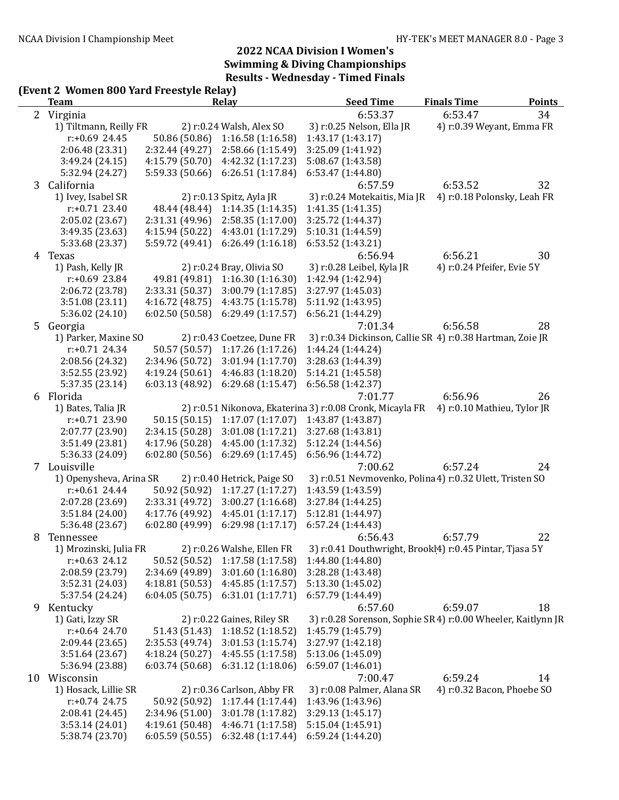## (Event 2 Women 800 Yard Freestyle Relay)

|    | <b>Team</b>             |                 | Relay                       | <b>Seed Time</b>                                             | <b>Finals Time</b>          | <b>Points</b> |
|----|-------------------------|-----------------|-----------------------------|--------------------------------------------------------------|-----------------------------|---------------|
|    | 2 Virginia              |                 |                             | 6:53.37                                                      | 6:53.47                     | 34            |
|    | 1) Tiltmann, Reilly FR  |                 | 2) r:0.24 Walsh, Alex SO    | 3) r:0.25 Nelson, Ella JR                                    | 4) r:0.39 Weyant, Emma FR   |               |
|    | $r: +0.69$ 24.45        | 50.86 (50.86)   | 1:16.58(1:16.58)            | 1:43.17 (1:43.17)                                            |                             |               |
|    | 2:06.48 (23.31)         | 2:32.44 (49.27) | 2:58.66 (1:15.49)           | 3:25.09 (1:41.92)                                            |                             |               |
|    | 3:49.24 (24.15)         | 4:15.79(50.70)  | 4:42.32 (1:17.23)           | 5:08.67 (1:43.58)                                            |                             |               |
|    | 5:32.94 (24.27)         | 5:59.33 (50.66) | 6:26.51(1:17.84)            | 6:53.47 (1:44.80)                                            |                             |               |
| 3  | California              |                 |                             | 6:57.59                                                      | 6:53.52                     | 32            |
|    | 1) Ivey, Isabel SR      |                 | 2) r:0.13 Spitz, Ayla JR    | 3) r:0.24 Motekaitis, Mia JR                                 | 4) r:0.18 Polonsky, Leah FR |               |
|    | $r: +0.71$ 23.40        | 48.44 (48.44)   | 1:14.35 (1:14.35)           | 1:41.35 (1:41.35)                                            |                             |               |
|    | 2:05.02 (23.67)         | 2:31.31 (49.96) | 2:58.35(1:17.00)            | 3:25.72 (1:44.37)                                            |                             |               |
|    | 3:49.35 (23.63)         | 4:15.94(50.22)  | 4:43.01 (1:17.29)           | 5:10.31 (1:44.59)                                            |                             |               |
|    | 5:33.68 (23.37)         | 5:59.72 (49.41) | 6:26.49(1:16.18)            | 6:53.52(1:43.21)                                             |                             |               |
| 4  | Texas                   |                 |                             | 6:56.94                                                      | 6:56.21                     | 30            |
|    | 1) Pash, Kelly JR       |                 | 2) r:0.24 Bray, Olivia SO   | 3) r:0.28 Leibel, Kyla JR                                    | 4) r:0.24 Pfeifer, Evie 5Y  |               |
|    | $r: +0.69$ 23.84        | 49.81 (49.81)   | 1:16.30(1:16.30)            | 1:42.94 (1:42.94)                                            |                             |               |
|    | 2:06.72 (23.78)         | 2:33.31 (50.37) | 3:00.79 (1:17.85)           | 3:27.97 (1:45.03)                                            |                             |               |
|    | 3:51.08 (23.11)         | 4:16.72 (48.75) | 4:43.75 (1:15.78)           | 5:11.92 (1:43.95)                                            |                             |               |
|    | 5:36.02 (24.10)         | 6:02.50(50.58)  | 6:29.49 (1:17.57)           | 6:56.21 (1:44.29)                                            |                             |               |
| 5  | Georgia                 |                 |                             | 7:01.34                                                      | 6:56.58                     | 28            |
|    | 1) Parker, Maxine SO    |                 | 2) r:0.43 Coetzee, Dune FR  | 3) r:0.34 Dickinson, Callie SR 4) r:0.38 Hartman, Zoie JR    |                             |               |
|    | $r: +0.71$ 24.34        | 50.57 (50.57)   | 1:17.26 (1:17.26)           | 1:44.24 (1:44.24)                                            |                             |               |
|    | 2:08.56 (24.32)         | 2:34.96 (50.72) | 3:01.94(1:17.70)            | 3:28.63 (1:44.39)                                            |                             |               |
|    | 3:52.55 (23.92)         | 4:19.24(50.61)  | 4:46.83(1:18.20)            | 5:14.21 (1:45.58)                                            |                             |               |
|    | 5:37.35 (23.14)         | 6:03.13(48.92)  | 6:29.68(1:15.47)            | 6:56.58(1:42.37)                                             |                             |               |
| 6  | Florida                 |                 |                             | 7:01.77                                                      | 6:56.96                     | 26            |
|    | 1) Bates, Talia JR      |                 |                             | 2) r:0.51 Nikonova, Ekaterina 3) r:0.08 Cronk, Micayla FR    | 4) r:0.10 Mathieu, Tylor JR |               |
|    | $r: +0.71$ 23.90        | 50.15 (50.15)   | 1:17.07(1:17.07)            | 1:43.87 (1:43.87)                                            |                             |               |
|    | 2:07.77 (23.90)         | 2:34.15 (50.28) | 3:01.08 (1:17.21)           | 3:27.68 (1:43.81)                                            |                             |               |
|    | 3:51.49 (23.81)         | 4:17.96 (50.28) | 4:45.00 (1:17.32)           | 5:12.24 (1:44.56)                                            |                             |               |
|    | 5:36.33 (24.09)         | 6:02.80(50.56)  | 6:29.69(1:17.45)            | 6:56.96 (1:44.72)                                            |                             |               |
|    | 7 Louisville            |                 |                             | 7:00.62                                                      | 6:57.24                     | 24            |
|    | 1) Openysheva, Arina SR |                 | 2) r:0.40 Hetrick, Paige SO | 3) r:0.51 Nevmovenko, Polina4) r:0.32 Ulett, Tristen SO      |                             |               |
|    | $r: +0.61$ 24.44        | 50.92 (50.92)   | 1:17.27(1:17.27)            | 1:43.59 (1:43.59)                                            |                             |               |
|    | 2:07.28 (23.69)         | 2:33.31 (49.72) | 3:00.27(1:16.68)            | 3:27.84 (1:44.25)                                            |                             |               |
|    | 3:51.84 (24.00)         | 4:17.76 (49.92) | 4:45.01(1:17.17)            | 5:12.81 (1:44.97)                                            |                             |               |
|    | 5:36.48 (23.67)         | 6:02.80(49.99)  | 6:29.98(1:17.17)            | 6:57.24(1:44.43)                                             |                             |               |
| 8  | Tennessee               |                 |                             | 6:56.43                                                      | 6:57.79                     | 22            |
|    | 1) Mrozinski, Julia FR  |                 | 2) r:0.26 Walshe, Ellen FR  | 3) r:0.41 Douthwright, Brookl4) r:0.45 Pintar, Tjasa 5Y      |                             |               |
|    | $r: +0.63$ 24.12        | 50.52 (50.52)   | 1:17.58 (1:17.58)           | 1:44.80 (1:44.80)                                            |                             |               |
|    | 2:08.59 (23.79)         | 2:34.69 (49.89) | 3:01.60(1:16.80)            | 3:28.28 (1:43.48)                                            |                             |               |
|    | 3:52.31 (24.03)         | 4:18.81(50.53)  | 4:45.85(1:17.57)            | 5:13.30 (1:45.02)                                            |                             |               |
|    | 5:37.54 (24.24)         | 6:04.05(50.75)  | 6:31.01(1:17.71)            | 6:57.79 (1:44.49)                                            |                             |               |
| 9  | Kentucky                |                 |                             | 6:57.60                                                      | 6:59.07                     | 18            |
|    | 1) Gati, Izzy SR        |                 | 2) r:0.22 Gaines, Riley SR  | 3) r:0.28 Sorenson, Sophie SR 4) r:0.00 Wheeler, Kaitlynn JR |                             |               |
|    | $r: +0.64$ 24.70        | 51.43 (51.43)   | 1:18.52(1:18.52)            | 1:45.79 (1:45.79)                                            |                             |               |
|    | 2:09.44 (23.65)         | 2:35.53 (49.74) | 3:01.53(1:15.74)            | 3:27.97 (1:42.18)                                            |                             |               |
|    | 3:51.64(23.67)          | 4:18.24(50.27)  | 4:45.55 (1:17.58)           | 5:13.06 (1:45.09)                                            |                             |               |
|    | 5:36.94 (23.88)         | 6:03.74(50.68)  | 6:31.12 (1:18.06)           | 6:59.07 (1:46.01)                                            |                             |               |
| 10 | Wisconsin               |                 |                             | 7:00.47                                                      | 6:59.24                     | 14            |
|    | 1) Hosack, Lillie SR    |                 | 2) r:0.36 Carlson, Abby FR  | 3) r:0.08 Palmer, Alana SR                                   | 4) r:0.32 Bacon, Phoebe SO  |               |
|    | $r: +0.74$ 24.75        | 50.92 (50.92)   | 1:17.44(1:17.44)            | 1:43.96 (1:43.96)                                            |                             |               |
|    | 2:08.41 (24.45)         | 2:34.96 (51.00) | 3:01.78 (1:17.82)           | 3:29.13(1:45.17)                                             |                             |               |
|    | 3:53.14(24.01)          | 4:19.61 (50.48) | 4:46.71 (1:17.58)           | 5:15.04 (1:45.91)                                            |                             |               |
|    | 5:38.74 (23.70)         | 6:05.59(50.55)  | 6:32.48(1:17.44)            | 6:59.24(1:44.20)                                             |                             |               |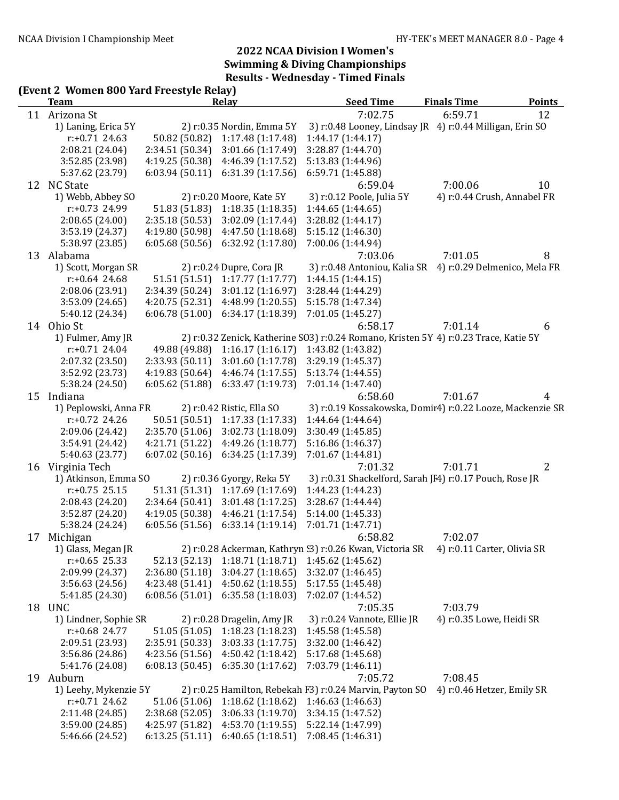## (Event 2 Women 800 Yard Freestyle Relay)

|    | <b>Team</b>           |                 | Relay                      | <b>Seed Time</b>                                                                     | <b>Finals Time</b>          | <b>Points</b> |
|----|-----------------------|-----------------|----------------------------|--------------------------------------------------------------------------------------|-----------------------------|---------------|
|    | 11 Arizona St         |                 |                            | 7:02.75                                                                              | 6:59.71                     | 12            |
|    | 1) Laning, Erica 5Y   |                 | 2) r:0.35 Nordin, Emma 5Y  | 3) r:0.48 Looney, Lindsay JR 4) r:0.44 Milligan, Erin SO                             |                             |               |
|    | $r: +0.71$ 24.63      | 50.82 (50.82)   | 1:17.48 (1:17.48)          | 1:44.17 (1:44.17)                                                                    |                             |               |
|    | 2:08.21 (24.04)       | 2:34.51 (50.34) | 3:01.66 (1:17.49)          | 3:28.87 (1:44.70)                                                                    |                             |               |
|    | 3:52.85 (23.98)       | 4:19.25 (50.38) | 4:46.39 (1:17.52)          | 5:13.83 (1:44.96)                                                                    |                             |               |
|    | 5:37.62 (23.79)       | 6:03.94(50.11)  | 6:31.39(1:17.56)           | 6:59.71 (1:45.88)                                                                    |                             |               |
|    | 12 NC State           |                 |                            | 6:59.04                                                                              | 7:00.06                     | 10            |
|    | 1) Webb, Abbey SO     |                 | 2) r:0.20 Moore, Kate 5Y   | 3) r:0.12 Poole, Julia 5Y                                                            | 4) r:0.44 Crush, Annabel FR |               |
|    | r:+0.73 24.99         | 51.83 (51.83)   | 1:18.35(1:18.35)           | 1:44.65 (1:44.65)                                                                    |                             |               |
|    | 2:08.65 (24.00)       | 2:35.18 (50.53) | 3:02.09(1:17.44)           | 3:28.82(1:44.17)                                                                     |                             |               |
|    | 3:53.19 (24.37)       | 4:19.80 (50.98) | 4:47.50 (1:18.68)          | 5:15.12 (1:46.30)                                                                    |                             |               |
|    | 5:38.97 (23.85)       | 6:05.68(50.56)  | 6:32.92 (1:17.80)          | 7:00.06 (1:44.94)                                                                    |                             |               |
| 13 | Alabama               |                 |                            | 7:03.06                                                                              | 7:01.05                     | 8             |
|    | 1) Scott, Morgan SR   |                 | 2) r:0.24 Dupre, Cora JR   | 3) r:0.48 Antoniou, Kalia SR 4) r:0.29 Delmenico, Mela FR                            |                             |               |
|    | $r: +0.64$ 24.68      | 51.51 (51.51)   | 1:17.77(1:17.77)           | 1:44.15(1:44.15)                                                                     |                             |               |
|    | 2:08.06 (23.91)       | 2:34.39 (50.24) | 3:01.12 (1:16.97)          | 3:28.44 (1:44.29)                                                                    |                             |               |
|    | 3:53.09 (24.65)       | 4:20.75 (52.31) | 4:48.99 (1:20.55)          | 5:15.78 (1:47.34)                                                                    |                             |               |
|    | 5:40.12 (24.34)       | 6:06.78(51.00)  | 6:34.17(1:18.39)           | 7:01.05 (1:45.27)                                                                    |                             |               |
|    | 14 Ohio St            |                 |                            | 6:58.17                                                                              | 7:01.14                     | 6             |
|    | 1) Fulmer, Amy JR     |                 |                            | 2) r:0.32 Zenick, Katherine SO3) r:0.24 Romano, Kristen 5Y 4) r:0.23 Trace, Katie 5Y |                             |               |
|    | $r: +0.71$ 24.04      | 49.88 (49.88)   | 1:16.17(1:16.17)           | 1:43.82 (1:43.82)                                                                    |                             |               |
|    | 2:07.32 (23.50)       | 2:33.93 (50.11) | 3:01.60 (1:17.78)          | 3:29.19 (1:45.37)                                                                    |                             |               |
|    | 3:52.92 (23.73)       | 4:19.83(50.64)  | 4:46.74 (1:17.55)          | 5:13.74 (1:44.55)                                                                    |                             |               |
|    | 5:38.24 (24.50)       | 6:05.62(51.88)  | 6:33.47(1:19.73)           | 7:01.14 (1:47.40)                                                                    |                             |               |
| 15 | Indiana               |                 |                            | 6:58.60                                                                              | 7:01.67                     | 4             |
|    | 1) Peplowski, Anna FR |                 | 2) r:0.42 Ristic, Ella SO  | 3) r:0.19 Kossakowska, Domir4) r:0.22 Looze, Mackenzie SR                            |                             |               |
|    | $r: +0.72$ 24.26      | 50.51 (50.51)   | 1:17.33 (1:17.33)          | 1:44.64(1:44.64)                                                                     |                             |               |
|    | 2:09.06 (24.42)       | 2:35.70 (51.06) | 3:02.73 (1:18.09)          | 3:30.49 (1:45.85)                                                                    |                             |               |
|    | 3:54.91 (24.42)       | 4:21.71 (51.22) | 4:49.26 (1:18.77)          | 5:16.86(1:46.37)                                                                     |                             |               |
|    | 5:40.63 (23.77)       | 6:07.02(50.16)  | 6:34.25 (1:17.39)          | 7:01.67 (1:44.81)                                                                    |                             |               |
|    | 16 Virginia Tech      |                 |                            | 7:01.32                                                                              | 7:01.71                     | 2             |
|    | 1) Atkinson, Emma SO  |                 | 2) r:0.36 Gyorgy, Reka 5Y  | 3) r:0.31 Shackelford, Sarah JF4) r:0.17 Pouch, Rose JR                              |                             |               |
|    | $r: +0.75$ 25.15      | 51.31 (51.31)   | 1:17.69(1:17.69)           | 1:44.23 (1:44.23)                                                                    |                             |               |
|    | 2:08.43 (24.20)       | 2:34.64 (50.41) | 3:01.48 (1:17.25)          | 3:28.67(1:44.44)                                                                     |                             |               |
|    | 3:52.87 (24.20)       | 4:19.05 (50.38) | 4:46.21 (1:17.54)          | 5:14.00 (1:45.33)                                                                    |                             |               |
|    | 5:38.24 (24.24)       | 6:05.56(51.56)  | 6:33.14(1:19.14)           | 7:01.71 (1:47.71)                                                                    |                             |               |
| 17 | Michigan              |                 |                            | 6:58.82                                                                              | 7:02.07                     |               |
|    | 1) Glass, Megan JR    |                 |                            | 2) r:0.28 Ackerman, Kathryn 33) r:0.26 Kwan, Victoria SR 4) r:0.11 Carter, Olivia SR |                             |               |
|    | $r: +0.65$ 25.33      | 52.13 (52.13)   | 1:18.71(1:18.71)           | 1:45.62 (1:45.62)                                                                    |                             |               |
|    | 2:09.99 (24.37)       | 2:36.80 (51.18) | 3:04.27(1:18.65)           | 3:32.07 (1:46.45)                                                                    |                             |               |
|    | 3:56.63 (24.56)       | 4:23.48 (51.41) | 4:50.62(1:18.55)           | 5:17.55(1:45.48)                                                                     |                             |               |
|    | 5:41.85 (24.30)       | 6:08.56(51.01)  | 6:35.58(1:18.03)           | 7:02.07 (1:44.52)                                                                    |                             |               |
|    | 18 UNC                |                 |                            | 7:05.35                                                                              | 7:03.79                     |               |
|    | 1) Lindner, Sophie SR |                 | 2) r:0.28 Dragelin, Amy JR | 3) r:0.24 Vannote, Ellie JR                                                          | 4) r:0.35 Lowe, Heidi SR    |               |
|    | r:+0.68 24.77         | 51.05 (51.05)   | 1:18.23(1:18.23)           | 1:45.58 (1:45.58)                                                                    |                             |               |
|    | 2:09.51 (23.93)       | 2:35.91 (50.33) | 3:03.33 (1:17.75)          | 3:32.00 (1:46.42)                                                                    |                             |               |
|    | 3:56.86 (24.86)       | 4:23.56(51.56)  | 4:50.42 (1:18.42)          | 5:17.68 (1:45.68)                                                                    |                             |               |
|    | 5:41.76 (24.08)       | 6:08.13(50.45)  | 6:35.30(1:17.62)           | 7:03.79 (1:46.11)                                                                    |                             |               |
|    | 19 Auburn             |                 |                            | 7:05.72                                                                              | 7:08.45                     |               |
|    | 1) Leehy, Mykenzie 5Y |                 |                            | 2) r:0.25 Hamilton, Rebekah F3) r:0.24 Marvin, Payton SO                             | 4) r:0.46 Hetzer, Emily SR  |               |
|    | $r: +0.71$ 24.62      | 51.06 (51.06)   | 1:18.62(1:18.62)           | 1:46.63 (1:46.63)                                                                    |                             |               |
|    | 2:11.48 (24.85)       | 2:38.68 (52.05) | 3:06.33 (1:19.70)          | 3:34.15 (1:47.52)                                                                    |                             |               |
|    | 3:59.00 (24.85)       | 4:25.97 (51.82) | 4:53.70 (1:19.55)          | 5:22.14 (1:47.99)                                                                    |                             |               |
|    | 5:46.66 (24.52)       | 6:13.25(51.11)  | 6:40.65(1:18.51)           | 7:08.45 (1:46.31)                                                                    |                             |               |